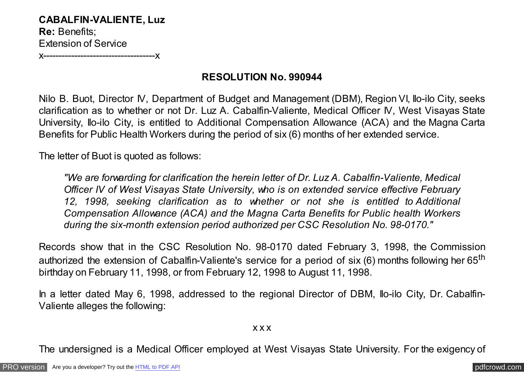**CABALFIN-VALIENTE, Luz Re:** Benefits; Extension of Service

x------------------------------------x

## **RESOLUTION No. 990944**

Nilo B. Buot, Director IV, Department of Budget and Management (DBM), Region VI, Ilo-ilo City, seeks clarification as to whether or not Dr. Luz A. Cabalfin-Valiente, Medical Officer IV, West Visayas State University, Ilo-ilo City, is entitled to Additional Compensation Allowance (ACA) and the Magna Carta Benefits for Public Health Workers during the period of six (6) months of her extended service.

The letter of Buot is quoted as follows:

*"We are forwarding for clarification the herein letter of Dr. Luz A. Cabalfin-Valiente, Medical Officer IV of West Visayas State University, who is on extended service effective February 12, 1998, seeking clarification as to whether or not she is entitled to Additional Compensation Allowance (ACA) and the Magna Carta Benefits for Public health Workers during the six-month extension period authorized per CSC Resolution No. 98-0170."*

Records show that in the CSC Resolution No. 98-0170 dated February 3, 1998, the Commission authorized the extension of Cabalfin-Valiente's service for a period of six (6) months following her 65<sup>th</sup> birthday on February 11, 1998, or from February 12, 1998 to August 11, 1998.

In a letter dated May 6, 1998, addressed to the regional Director of DBM, Ilo-ilo City, Dr. Cabalfin-Valiente alleges the following:

x x x

The undersigned is a Medical Officer employed at West Visayas State University. For the exigency of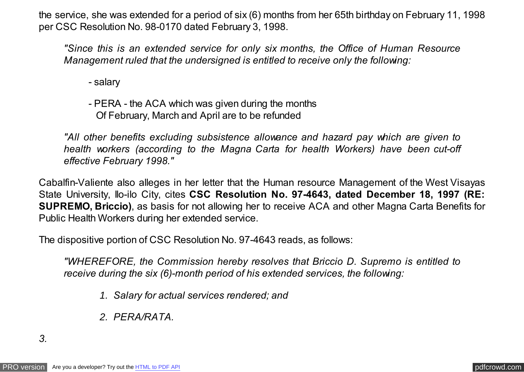the service, she was extended for a period of six (6) months from her 65th birthday on February 11, 1998 per CSC Resolution No. 98-0170 dated February 3, 1998.

*"Since this is an extended service for only six months, the Office of Human Resource Management ruled that the undersigned is entitled to receive only the following:*

- salary

- PERA - the ACA which was given during the months Of February, March and April are to be refunded

*"All other benefits excluding subsistence allowance and hazard pay which are given to health workers (according to the Magna Carta for health Workers) have been cut-off effective February 1998."*

Cabalfin-Valiente also alleges in her letter that the Human resource Management of the West Visayas State University, Ilo-ilo City, cites **CSC Resolution No. 97-4643, dated December 18, 1997 (RE: SUPREMO, Briccio)**, as basis for not allowing her to receive ACA and other Magna Carta Benefits for Public Health Workers during her extended service.

The dispositive portion of CSC Resolution No. 97-4643 reads, as follows:

*"WHEREFORE, the Commission hereby resolves that Briccio D. Supremo is entitled to receive during the six (6)-month period of his extended services, the following:*

- *1. Salary for actual services rendered; and*
- *2. PERA/RATA.*

*3.*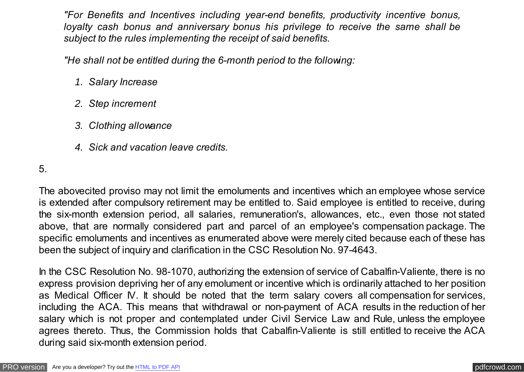*"For Benefits and Incentives including year-end benefits, productivity incentive bonus, loyalty cash bonus and anniversary bonus his privilege to receive the same shall be subject to the rules implementing the receipt of said benefits.*

*"He shall not be entitled during the 6-month period to the following:*

- *1. Salary Increase*
- *2. Step increment*
- *3. Clothing allowance*
- *4. Sick and vacation leave credits.*

5.

The abovecited proviso may not limit the emoluments and incentives which an employee whose service is extended after compulsory retirement may be entitled to. Said employee is entitled to receive, during the six-month extension period, all salaries, remuneration's, allowances, etc., even those not stated above, that are normally considered part and parcel of an employee's compensation package. The specific emoluments and incentives as enumerated above were merely cited because each of these has been the subject of inquiry and clarification in the CSC Resolution No. 97-4643.

In the CSC Resolution No. 98-1070, authorizing the extension of service of Cabalfin-Valiente, there is no express provision depriving her of any emolument or incentive which is ordinarily attached to her position as Medical Officer IV. It should be noted that the term salary covers all compensation for services, including the ACA. This means that withdrawal or non-payment of ACA results in the reduction of her salary which is not proper and contemplated under Civil Service Law and Rule, unless the employee agrees thereto. Thus, the Commission holds that Cabalfin-Valiente is still entitled to receive the ACA during said six-month extension period.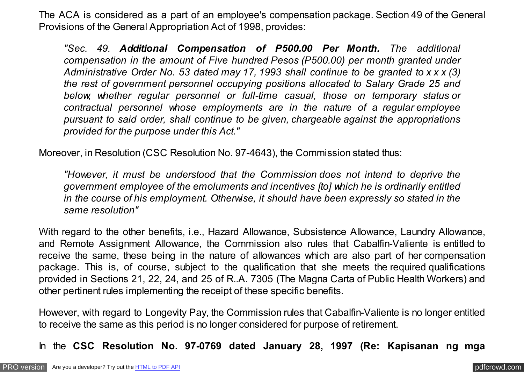The ACA is considered as a part of an employee's compensation package. Section 49 of the General Provisions of the General Appropriation Act of 1998, provides:

*"Sec. 49. Additional Compensation of P500.00 Per Month. The additional compensation in the amount of Five hundred Pesos (P500.00) per month granted under Administrative Order No. 53 dated may 17, 1993 shall continue to be granted to x x x (3) the rest of government personnel occupying positions allocated to Salary Grade 25 and below, whether regular personnel or full-time casual, those on temporary status or contractual personnel whose employments are in the nature of a regular employee pursuant to said order, shall continue to be given, chargeable against the appropriations provided for the purpose under this Act."*

Moreover, in Resolution (CSC Resolution No. 97-4643), the Commission stated thus:

*"However, it must be understood that the Commission does not intend to deprive the government employee of the emoluments and incentives [to] which he is ordinarily entitled in the course of his employment. Otherwise, it should have been expressly so stated in the same resolution"*

With regard to the other benefits, i.e., Hazard Allowance, Subsistence Allowance, Laundry Allowance, and Remote Assignment Allowance, the Commission also rules that Cabalfin-Valiente is entitled to receive the same, these being in the nature of allowances which are also part of her compensation package. This is, of course, subject to the qualification that she meets the required qualifications provided in Sections 21, 22, 24, and 25 of R..A. 7305 (The Magna Carta of Public Health Workers) and other pertinent rules implementing the receipt of these specific benefits.

However, with regard to Longevity Pay, the Commission rules that Cabalfin-Valiente is no longer entitled to receive the same as this period is no longer considered for purpose of retirement.

In the **CSC Resolution No. 97-0769 dated January 28, 1997 (Re: Kapisanan ng mga**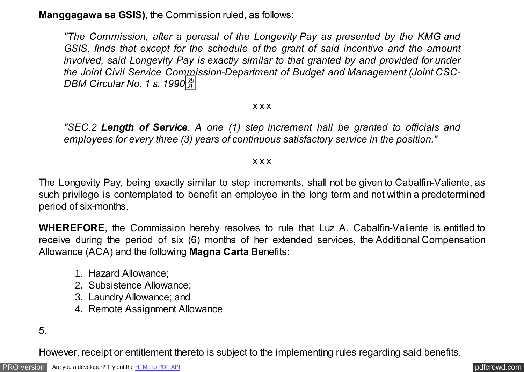**Manggagawa sa GSIS)**, the Commission ruled, as follows:

*"The Commission, after a perusal of the Longevity Pay as presented by the KMG and GSIS, finds that except for the schedule of the grant of said incentive and the amount involved, said Longevity Pay is exactly similar to that granted by and provided for under the Joint Civil Service Commission-Department of Budget and Management (Joint CSC-DBM Circular No. 1 s. 1990*�

## x x x

*"SEC.2 Length of Service. A one (1) step increment hall be granted to officials and employees for every three (3) years of continuous satisfactory service in the position."*

## x x x

The Longevity Pay, being exactly similar to step increments, shall not be given to Cabalfin-Valiente, as such privilege is contemplated to benefit an employee in the long term and not within a predetermined period of six-months.

**WHEREFORE**, the Commission hereby resolves to rule that Luz A. Cabalfin-Valiente is entitled to receive during the period of six (6) months of her extended services, the Additional Compensation Allowance (ACA) and the following **Magna Carta** Benefits:

- 1. Hazard Allowance;
- 2. Subsistence Allowance;
- 3. Laundry Allowance; and
- 4. Remote Assignment Allowance

5.

However, receipt or entitlement thereto is subject to the implementing rules regarding said benefits.